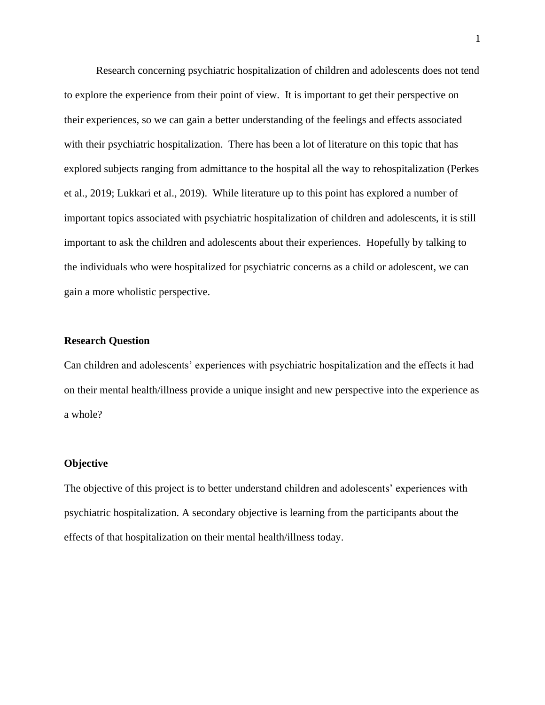Research concerning psychiatric hospitalization of children and adolescents does not tend to explore the experience from their point of view. It is important to get their perspective on their experiences, so we can gain a better understanding of the feelings and effects associated with their psychiatric hospitalization. There has been a lot of literature on this topic that has explored subjects ranging from admittance to the hospital all the way to rehospitalization (Perkes et al., 2019; Lukkari et al., 2019). While literature up to this point has explored a number of important topics associated with psychiatric hospitalization of children and adolescents, it is still important to ask the children and adolescents about their experiences. Hopefully by talking to the individuals who were hospitalized for psychiatric concerns as a child or adolescent, we can gain a more wholistic perspective.

## **Research Question**

Can children and adolescents' experiences with psychiatric hospitalization and the effects it had on their mental health/illness provide a unique insight and new perspective into the experience as a whole?

## **Objective**

The objective of this project is to better understand children and adolescents' experiences with psychiatric hospitalization. A secondary objective is learning from the participants about the effects of that hospitalization on their mental health/illness today.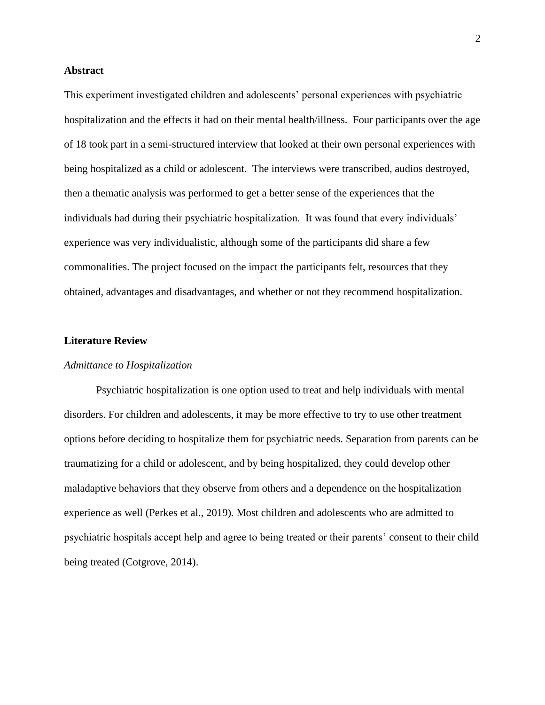## **Abstract**

This experiment investigated children and adolescents' personal experiences with psychiatric hospitalization and the effects it had on their mental health/illness. Four participants over the age of 18 took part in a semi-structured interview that looked at their own personal experiences with being hospitalized as a child or adolescent. The interviews were transcribed, audios destroyed, then a thematic analysis was performed to get a better sense of the experiences that the individuals had during their psychiatric hospitalization. It was found that every individuals' experience was very individualistic, although some of the participants did share a few commonalities. The project focused on the impact the participants felt, resources that they obtained, advantages and disadvantages, and whether or not they recommend hospitalization.

### **Literature Review**

#### *Admittance to Hospitalization*

Psychiatric hospitalization is one option used to treat and help individuals with mental disorders. For children and adolescents, it may be more effective to try to use other treatment options before deciding to hospitalize them for psychiatric needs. Separation from parents can be traumatizing for a child or adolescent, and by being hospitalized, they could develop other maladaptive behaviors that they observe from others and a dependence on the hospitalization experience as well (Perkes et al., 2019). Most children and adolescents who are admitted to psychiatric hospitals accept help and agree to being treated or their parents' consent to their child being treated (Cotgrove, 2014).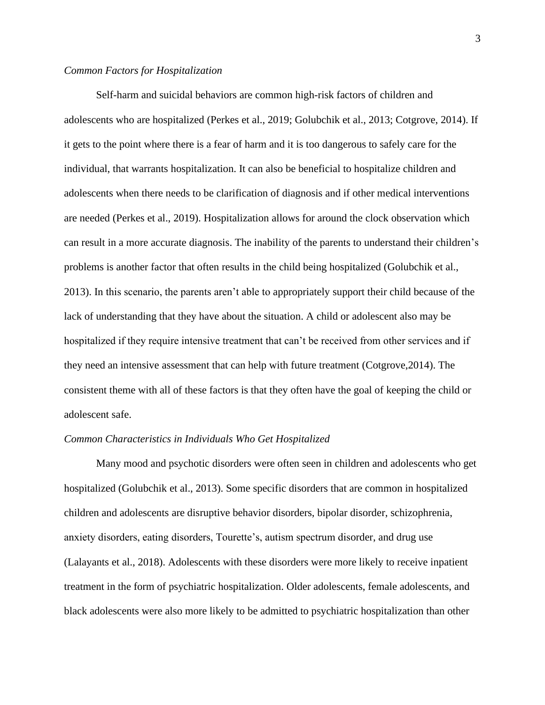## *Common Factors for Hospitalization*

Self-harm and suicidal behaviors are common high-risk factors of children and adolescents who are hospitalized (Perkes et al., 2019; Golubchik et al., 2013; Cotgrove, 2014). If it gets to the point where there is a fear of harm and it is too dangerous to safely care for the individual, that warrants hospitalization. It can also be beneficial to hospitalize children and adolescents when there needs to be clarification of diagnosis and if other medical interventions are needed (Perkes et al., 2019). Hospitalization allows for around the clock observation which can result in a more accurate diagnosis. The inability of the parents to understand their children's problems is another factor that often results in the child being hospitalized (Golubchik et al., 2013). In this scenario, the parents aren't able to appropriately support their child because of the lack of understanding that they have about the situation. A child or adolescent also may be hospitalized if they require intensive treatment that can't be received from other services and if they need an intensive assessment that can help with future treatment (Cotgrove,2014). The consistent theme with all of these factors is that they often have the goal of keeping the child or adolescent safe.

#### *Common Characteristics in Individuals Who Get Hospitalized*

Many mood and psychotic disorders were often seen in children and adolescents who get hospitalized (Golubchik et al., 2013). Some specific disorders that are common in hospitalized children and adolescents are disruptive behavior disorders, bipolar disorder, schizophrenia, anxiety disorders, eating disorders, Tourette's, autism spectrum disorder, and drug use (Lalayants et al., 2018). Adolescents with these disorders were more likely to receive inpatient treatment in the form of psychiatric hospitalization. Older adolescents, female adolescents, and black adolescents were also more likely to be admitted to psychiatric hospitalization than other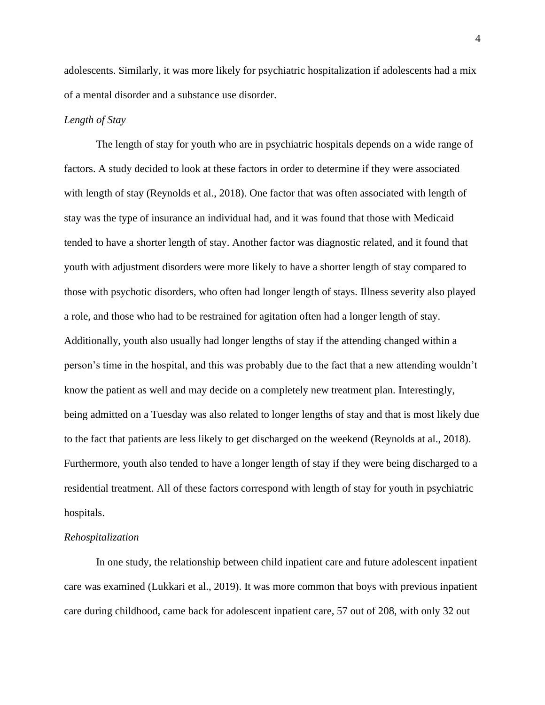adolescents. Similarly, it was more likely for psychiatric hospitalization if adolescents had a mix of a mental disorder and a substance use disorder.

#### *Length of Stay*

The length of stay for youth who are in psychiatric hospitals depends on a wide range of factors. A study decided to look at these factors in order to determine if they were associated with length of stay (Reynolds et al., 2018). One factor that was often associated with length of stay was the type of insurance an individual had, and it was found that those with Medicaid tended to have a shorter length of stay. Another factor was diagnostic related, and it found that youth with adjustment disorders were more likely to have a shorter length of stay compared to those with psychotic disorders, who often had longer length of stays. Illness severity also played a role, and those who had to be restrained for agitation often had a longer length of stay. Additionally, youth also usually had longer lengths of stay if the attending changed within a person's time in the hospital, and this was probably due to the fact that a new attending wouldn't know the patient as well and may decide on a completely new treatment plan. Interestingly, being admitted on a Tuesday was also related to longer lengths of stay and that is most likely due to the fact that patients are less likely to get discharged on the weekend (Reynolds at al., 2018). Furthermore, youth also tended to have a longer length of stay if they were being discharged to a residential treatment. All of these factors correspond with length of stay for youth in psychiatric hospitals.

#### *Rehospitalization*

In one study, the relationship between child inpatient care and future adolescent inpatient care was examined (Lukkari et al., 2019). It was more common that boys with previous inpatient care during childhood, came back for adolescent inpatient care, 57 out of 208, with only 32 out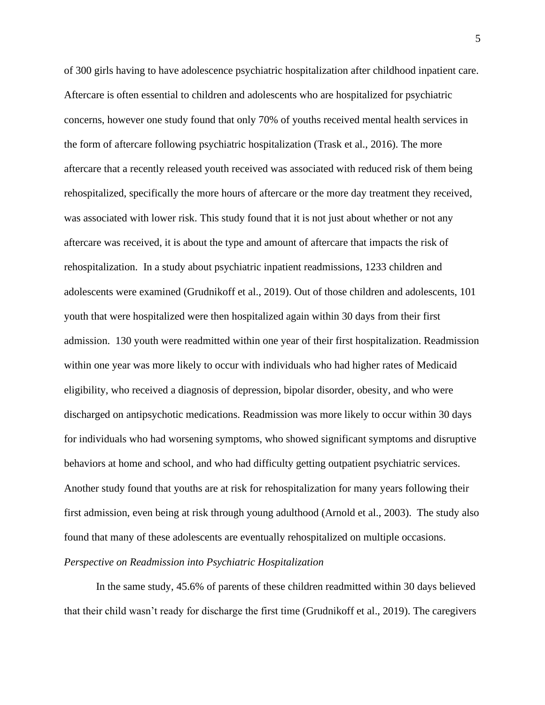of 300 girls having to have adolescence psychiatric hospitalization after childhood inpatient care. Aftercare is often essential to children and adolescents who are hospitalized for psychiatric concerns, however one study found that only 70% of youths received mental health services in the form of aftercare following psychiatric hospitalization (Trask et al., 2016). The more aftercare that a recently released youth received was associated with reduced risk of them being rehospitalized, specifically the more hours of aftercare or the more day treatment they received, was associated with lower risk. This study found that it is not just about whether or not any aftercare was received, it is about the type and amount of aftercare that impacts the risk of rehospitalization. In a study about psychiatric inpatient readmissions, 1233 children and adolescents were examined (Grudnikoff et al., 2019). Out of those children and adolescents, 101 youth that were hospitalized were then hospitalized again within 30 days from their first admission. 130 youth were readmitted within one year of their first hospitalization. Readmission within one year was more likely to occur with individuals who had higher rates of Medicaid eligibility, who received a diagnosis of depression, bipolar disorder, obesity, and who were discharged on antipsychotic medications. Readmission was more likely to occur within 30 days for individuals who had worsening symptoms, who showed significant symptoms and disruptive behaviors at home and school, and who had difficulty getting outpatient psychiatric services. Another study found that youths are at risk for rehospitalization for many years following their first admission, even being at risk through young adulthood (Arnold et al., 2003). The study also found that many of these adolescents are eventually rehospitalized on multiple occasions.

# *Perspective on Readmission into Psychiatric Hospitalization*

In the same study, 45.6% of parents of these children readmitted within 30 days believed that their child wasn't ready for discharge the first time (Grudnikoff et al., 2019). The caregivers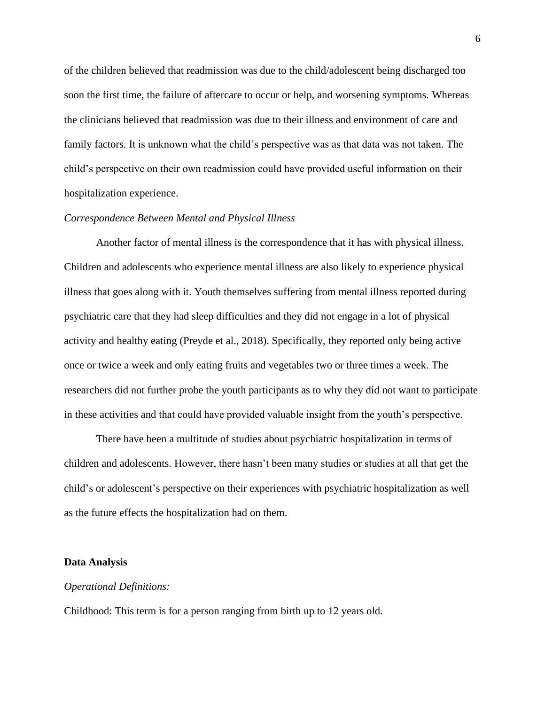of the children believed that readmission was due to the child/adolescent being discharged too soon the first time, the failure of aftercare to occur or help, and worsening symptoms. Whereas the clinicians believed that readmission was due to their illness and environment of care and family factors. It is unknown what the child's perspective was as that data was not taken. The child's perspective on their own readmission could have provided useful information on their hospitalization experience.

## *Correspondence Between Mental and Physical Illness*

Another factor of mental illness is the correspondence that it has with physical illness. Children and adolescents who experience mental illness are also likely to experience physical illness that goes along with it. Youth themselves suffering from mental illness reported during psychiatric care that they had sleep difficulties and they did not engage in a lot of physical activity and healthy eating (Preyde et al., 2018). Specifically, they reported only being active once or twice a week and only eating fruits and vegetables two or three times a week. The researchers did not further probe the youth participants as to why they did not want to participate in these activities and that could have provided valuable insight from the youth's perspective.

There have been a multitude of studies about psychiatric hospitalization in terms of children and adolescents. However, there hasn't been many studies or studies at all that get the child's or adolescent's perspective on their experiences with psychiatric hospitalization as well as the future effects the hospitalization had on them.

#### **Data Analysis**

### *Operational Definitions:*

Childhood: This term is for a person ranging from birth up to 12 years old.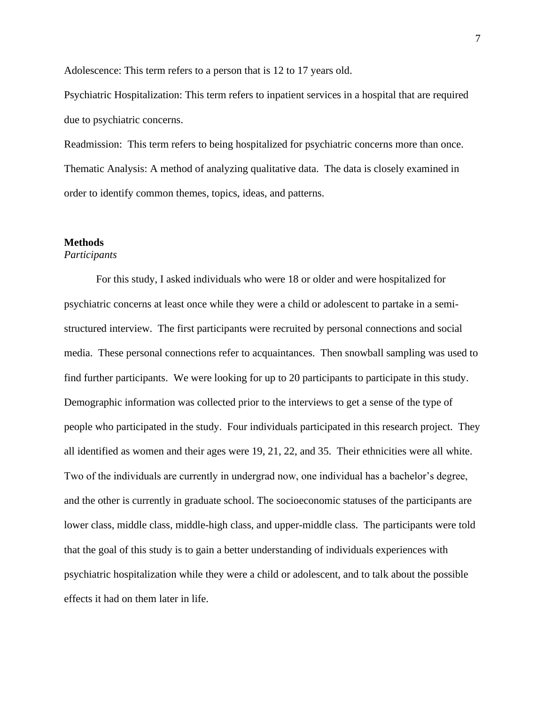Adolescence: This term refers to a person that is 12 to 17 years old.

Psychiatric Hospitalization: This term refers to inpatient services in a hospital that are required due to psychiatric concerns.

Readmission: This term refers to being hospitalized for psychiatric concerns more than once. Thematic Analysis: A method of analyzing qualitative data. The data is closely examined in order to identify common themes, topics, ideas, and patterns.

## **Methods**

## *Participants*

For this study, I asked individuals who were 18 or older and were hospitalized for psychiatric concerns at least once while they were a child or adolescent to partake in a semistructured interview. The first participants were recruited by personal connections and social media. These personal connections refer to acquaintances. Then snowball sampling was used to find further participants. We were looking for up to 20 participants to participate in this study. Demographic information was collected prior to the interviews to get a sense of the type of people who participated in the study. Four individuals participated in this research project. They all identified as women and their ages were 19, 21, 22, and 35. Their ethnicities were all white. Two of the individuals are currently in undergrad now, one individual has a bachelor's degree, and the other is currently in graduate school. The socioeconomic statuses of the participants are lower class, middle class, middle-high class, and upper-middle class. The participants were told that the goal of this study is to gain a better understanding of individuals experiences with psychiatric hospitalization while they were a child or adolescent, and to talk about the possible effects it had on them later in life.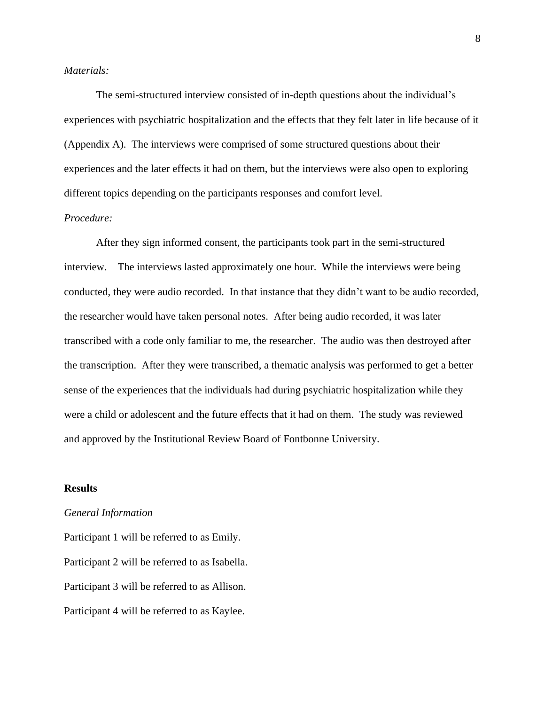## *Materials:*

The semi-structured interview consisted of in-depth questions about the individual's experiences with psychiatric hospitalization and the effects that they felt later in life because of it (Appendix A). The interviews were comprised of some structured questions about their experiences and the later effects it had on them, but the interviews were also open to exploring different topics depending on the participants responses and comfort level.

# *Procedure:*

After they sign informed consent, the participants took part in the semi-structured interview. The interviews lasted approximately one hour. While the interviews were being conducted, they were audio recorded. In that instance that they didn't want to be audio recorded, the researcher would have taken personal notes. After being audio recorded, it was later transcribed with a code only familiar to me, the researcher. The audio was then destroyed after the transcription. After they were transcribed, a thematic analysis was performed to get a better sense of the experiences that the individuals had during psychiatric hospitalization while they were a child or adolescent and the future effects that it had on them. The study was reviewed and approved by the Institutional Review Board of Fontbonne University.

### **Results**

#### *General Information*

Participant 1 will be referred to as Emily. Participant 2 will be referred to as Isabella. Participant 3 will be referred to as Allison. Participant 4 will be referred to as Kaylee.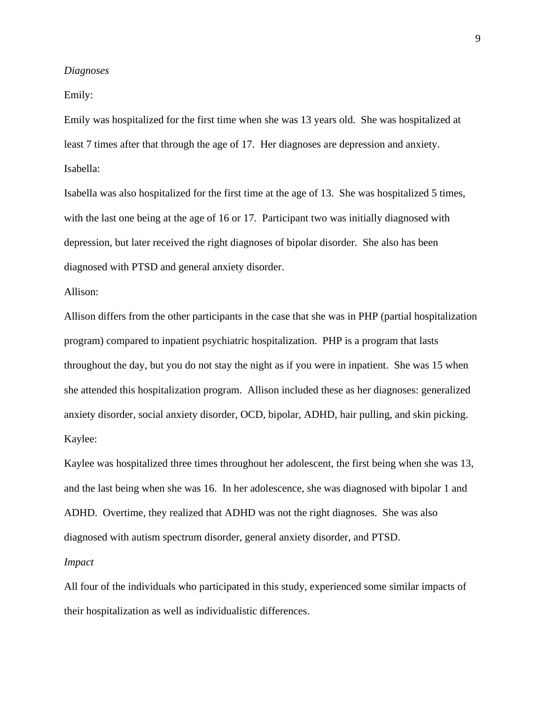#### *Diagnoses*

Emily:

Emily was hospitalized for the first time when she was 13 years old. She was hospitalized at least 7 times after that through the age of 17. Her diagnoses are depression and anxiety. Isabella:

Isabella was also hospitalized for the first time at the age of 13. She was hospitalized 5 times, with the last one being at the age of 16 or 17. Participant two was initially diagnosed with depression, but later received the right diagnoses of bipolar disorder. She also has been diagnosed with PTSD and general anxiety disorder.

Allison:

Allison differs from the other participants in the case that she was in PHP (partial hospitalization program) compared to inpatient psychiatric hospitalization. PHP is a program that lasts throughout the day, but you do not stay the night as if you were in inpatient. She was 15 when she attended this hospitalization program. Allison included these as her diagnoses: generalized anxiety disorder, social anxiety disorder, OCD, bipolar, ADHD, hair pulling, and skin picking. Kaylee:

Kaylee was hospitalized three times throughout her adolescent, the first being when she was 13, and the last being when she was 16. In her adolescence, she was diagnosed with bipolar 1 and ADHD. Overtime, they realized that ADHD was not the right diagnoses. She was also diagnosed with autism spectrum disorder, general anxiety disorder, and PTSD.

### *Impact*

All four of the individuals who participated in this study, experienced some similar impacts of their hospitalization as well as individualistic differences.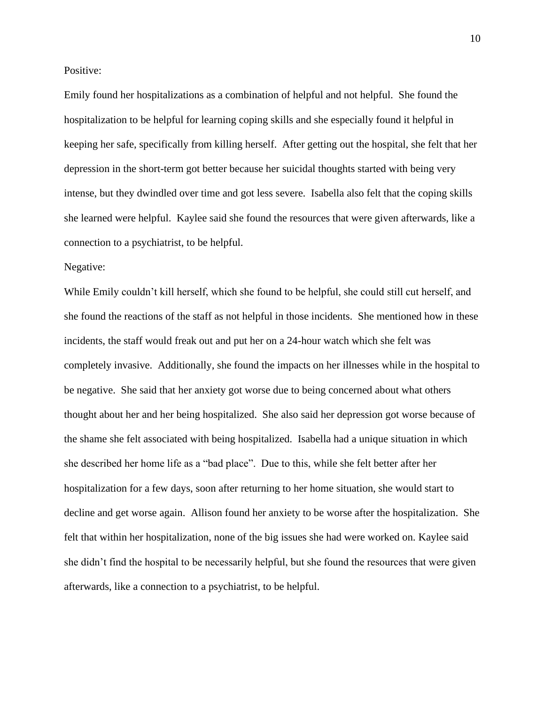Positive:

Emily found her hospitalizations as a combination of helpful and not helpful. She found the hospitalization to be helpful for learning coping skills and she especially found it helpful in keeping her safe, specifically from killing herself. After getting out the hospital, she felt that her depression in the short-term got better because her suicidal thoughts started with being very intense, but they dwindled over time and got less severe. Isabella also felt that the coping skills she learned were helpful. Kaylee said she found the resources that were given afterwards, like a connection to a psychiatrist, to be helpful.

Negative:

While Emily couldn't kill herself, which she found to be helpful, she could still cut herself, and she found the reactions of the staff as not helpful in those incidents. She mentioned how in these incidents, the staff would freak out and put her on a 24-hour watch which she felt was completely invasive. Additionally, she found the impacts on her illnesses while in the hospital to be negative. She said that her anxiety got worse due to being concerned about what others thought about her and her being hospitalized. She also said her depression got worse because of the shame she felt associated with being hospitalized. Isabella had a unique situation in which she described her home life as a "bad place". Due to this, while she felt better after her hospitalization for a few days, soon after returning to her home situation, she would start to decline and get worse again. Allison found her anxiety to be worse after the hospitalization. She felt that within her hospitalization, none of the big issues she had were worked on. Kaylee said she didn't find the hospital to be necessarily helpful, but she found the resources that were given afterwards, like a connection to a psychiatrist, to be helpful.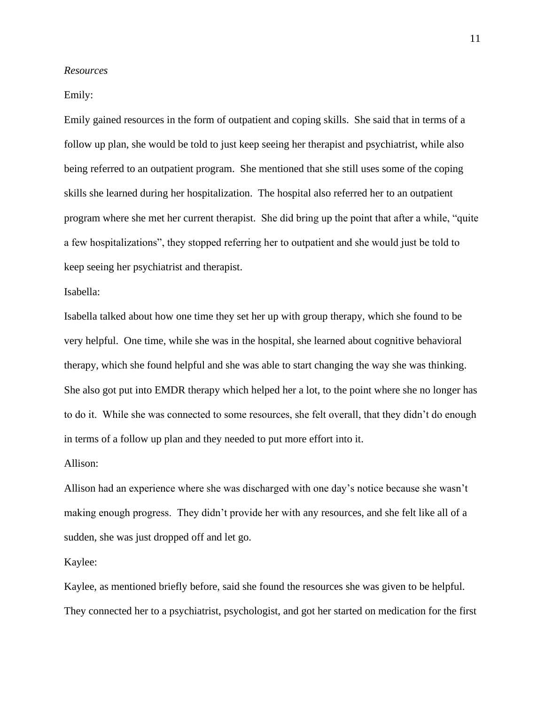#### *Resources*

### Emily:

Emily gained resources in the form of outpatient and coping skills. She said that in terms of a follow up plan, she would be told to just keep seeing her therapist and psychiatrist, while also being referred to an outpatient program. She mentioned that she still uses some of the coping skills she learned during her hospitalization. The hospital also referred her to an outpatient program where she met her current therapist. She did bring up the point that after a while, "quite a few hospitalizations", they stopped referring her to outpatient and she would just be told to keep seeing her psychiatrist and therapist.

## Isabella:

Isabella talked about how one time they set her up with group therapy, which she found to be very helpful. One time, while she was in the hospital, she learned about cognitive behavioral therapy, which she found helpful and she was able to start changing the way she was thinking. She also got put into EMDR therapy which helped her a lot, to the point where she no longer has to do it. While she was connected to some resources, she felt overall, that they didn't do enough in terms of a follow up plan and they needed to put more effort into it.

### Allison:

Allison had an experience where she was discharged with one day's notice because she wasn't making enough progress. They didn't provide her with any resources, and she felt like all of a sudden, she was just dropped off and let go.

#### Kaylee:

Kaylee, as mentioned briefly before, said she found the resources she was given to be helpful. They connected her to a psychiatrist, psychologist, and got her started on medication for the first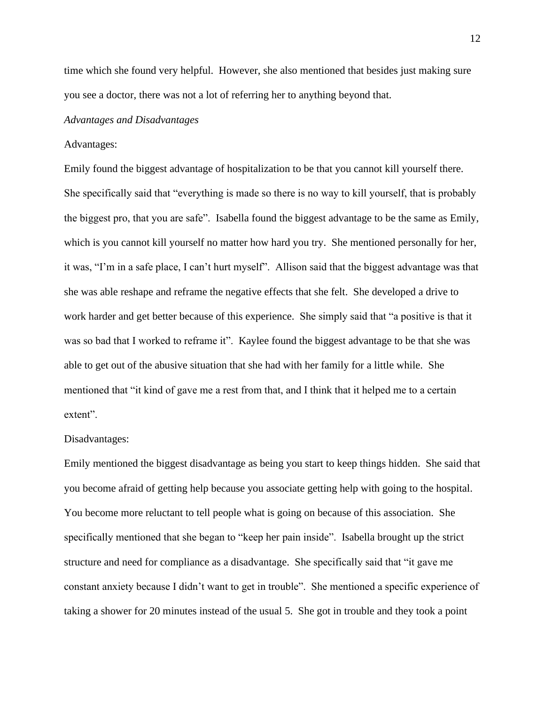time which she found very helpful. However, she also mentioned that besides just making sure you see a doctor, there was not a lot of referring her to anything beyond that.

#### *Advantages and Disadvantages*

#### Advantages:

Emily found the biggest advantage of hospitalization to be that you cannot kill yourself there. She specifically said that "everything is made so there is no way to kill yourself, that is probably the biggest pro, that you are safe". Isabella found the biggest advantage to be the same as Emily, which is you cannot kill yourself no matter how hard you try. She mentioned personally for her, it was, "I'm in a safe place, I can't hurt myself". Allison said that the biggest advantage was that she was able reshape and reframe the negative effects that she felt. She developed a drive to work harder and get better because of this experience. She simply said that "a positive is that it was so bad that I worked to reframe it". Kaylee found the biggest advantage to be that she was able to get out of the abusive situation that she had with her family for a little while. She mentioned that "it kind of gave me a rest from that, and I think that it helped me to a certain extent".

#### Disadvantages:

Emily mentioned the biggest disadvantage as being you start to keep things hidden. She said that you become afraid of getting help because you associate getting help with going to the hospital. You become more reluctant to tell people what is going on because of this association. She specifically mentioned that she began to "keep her pain inside". Isabella brought up the strict structure and need for compliance as a disadvantage. She specifically said that "it gave me constant anxiety because I didn't want to get in trouble". She mentioned a specific experience of taking a shower for 20 minutes instead of the usual 5. She got in trouble and they took a point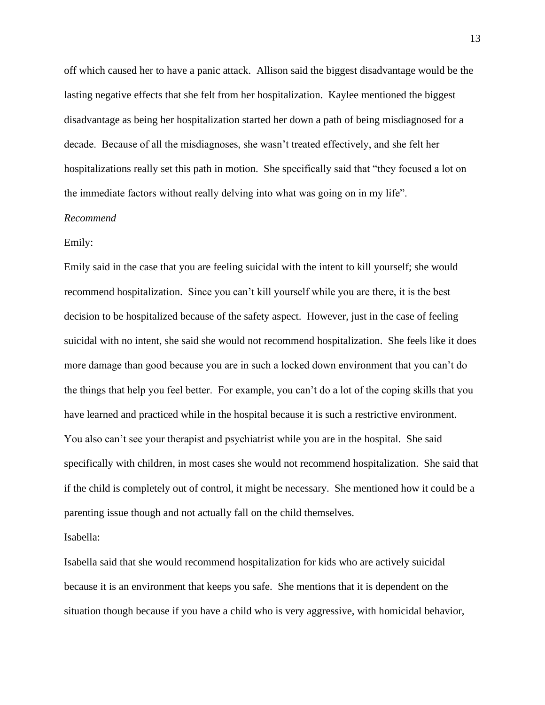off which caused her to have a panic attack. Allison said the biggest disadvantage would be the lasting negative effects that she felt from her hospitalization. Kaylee mentioned the biggest disadvantage as being her hospitalization started her down a path of being misdiagnosed for a decade. Because of all the misdiagnoses, she wasn't treated effectively, and she felt her hospitalizations really set this path in motion. She specifically said that "they focused a lot on the immediate factors without really delving into what was going on in my life".

### *Recommend*

## Emily:

Emily said in the case that you are feeling suicidal with the intent to kill yourself; she would recommend hospitalization. Since you can't kill yourself while you are there, it is the best decision to be hospitalized because of the safety aspect. However, just in the case of feeling suicidal with no intent, she said she would not recommend hospitalization. She feels like it does more damage than good because you are in such a locked down environment that you can't do the things that help you feel better. For example, you can't do a lot of the coping skills that you have learned and practiced while in the hospital because it is such a restrictive environment. You also can't see your therapist and psychiatrist while you are in the hospital. She said specifically with children, in most cases she would not recommend hospitalization. She said that if the child is completely out of control, it might be necessary. She mentioned how it could be a parenting issue though and not actually fall on the child themselves.

Isabella:

Isabella said that she would recommend hospitalization for kids who are actively suicidal because it is an environment that keeps you safe. She mentions that it is dependent on the situation though because if you have a child who is very aggressive, with homicidal behavior,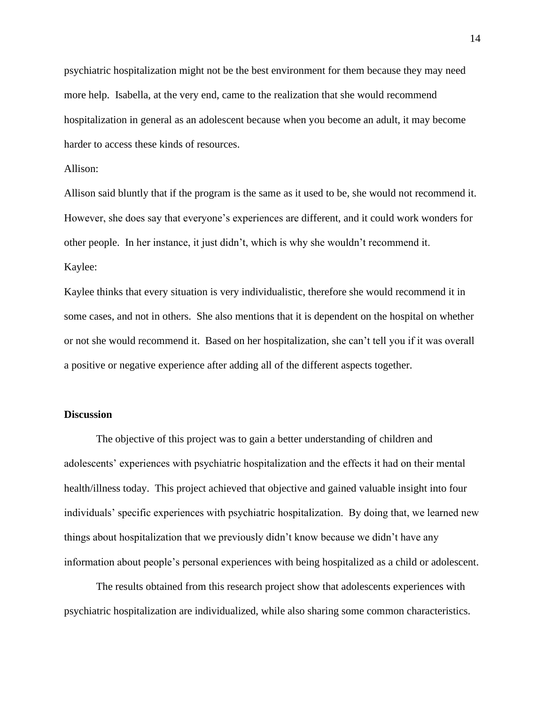psychiatric hospitalization might not be the best environment for them because they may need more help. Isabella, at the very end, came to the realization that she would recommend hospitalization in general as an adolescent because when you become an adult, it may become harder to access these kinds of resources.

## Allison:

Allison said bluntly that if the program is the same as it used to be, she would not recommend it. However, she does say that everyone's experiences are different, and it could work wonders for other people. In her instance, it just didn't, which is why she wouldn't recommend it. Kaylee:

Kaylee thinks that every situation is very individualistic, therefore she would recommend it in some cases, and not in others. She also mentions that it is dependent on the hospital on whether or not she would recommend it. Based on her hospitalization, she can't tell you if it was overall a positive or negative experience after adding all of the different aspects together.

## **Discussion**

The objective of this project was to gain a better understanding of children and adolescents' experiences with psychiatric hospitalization and the effects it had on their mental health/illness today. This project achieved that objective and gained valuable insight into four individuals' specific experiences with psychiatric hospitalization. By doing that, we learned new things about hospitalization that we previously didn't know because we didn't have any information about people's personal experiences with being hospitalized as a child or adolescent.

The results obtained from this research project show that adolescents experiences with psychiatric hospitalization are individualized, while also sharing some common characteristics.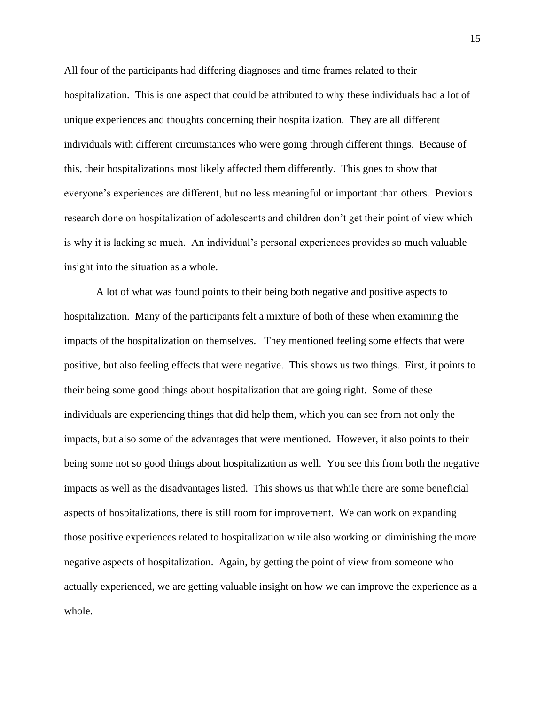All four of the participants had differing diagnoses and time frames related to their hospitalization. This is one aspect that could be attributed to why these individuals had a lot of unique experiences and thoughts concerning their hospitalization. They are all different individuals with different circumstances who were going through different things. Because of this, their hospitalizations most likely affected them differently. This goes to show that everyone's experiences are different, but no less meaningful or important than others. Previous research done on hospitalization of adolescents and children don't get their point of view which is why it is lacking so much. An individual's personal experiences provides so much valuable insight into the situation as a whole.

A lot of what was found points to their being both negative and positive aspects to hospitalization. Many of the participants felt a mixture of both of these when examining the impacts of the hospitalization on themselves. They mentioned feeling some effects that were positive, but also feeling effects that were negative. This shows us two things. First, it points to their being some good things about hospitalization that are going right. Some of these individuals are experiencing things that did help them, which you can see from not only the impacts, but also some of the advantages that were mentioned. However, it also points to their being some not so good things about hospitalization as well. You see this from both the negative impacts as well as the disadvantages listed. This shows us that while there are some beneficial aspects of hospitalizations, there is still room for improvement. We can work on expanding those positive experiences related to hospitalization while also working on diminishing the more negative aspects of hospitalization. Again, by getting the point of view from someone who actually experienced, we are getting valuable insight on how we can improve the experience as a whole.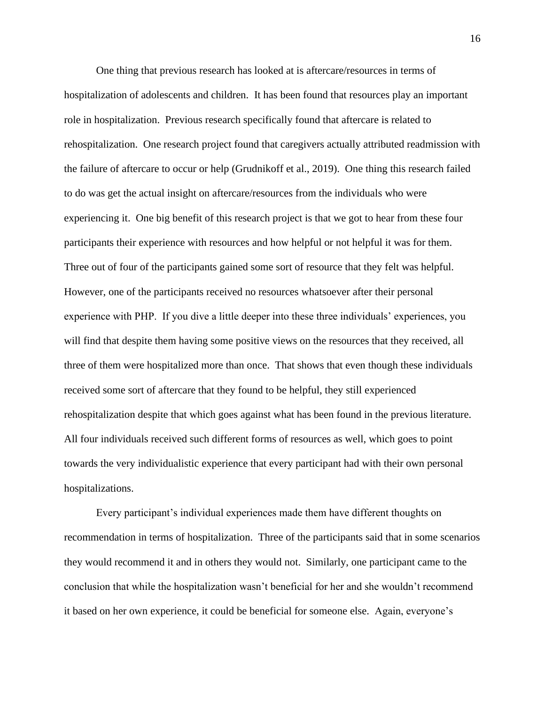One thing that previous research has looked at is aftercare/resources in terms of hospitalization of adolescents and children. It has been found that resources play an important role in hospitalization. Previous research specifically found that aftercare is related to rehospitalization. One research project found that caregivers actually attributed readmission with the failure of aftercare to occur or help (Grudnikoff et al., 2019). One thing this research failed to do was get the actual insight on aftercare/resources from the individuals who were experiencing it. One big benefit of this research project is that we got to hear from these four participants their experience with resources and how helpful or not helpful it was for them. Three out of four of the participants gained some sort of resource that they felt was helpful. However, one of the participants received no resources whatsoever after their personal experience with PHP. If you dive a little deeper into these three individuals' experiences, you will find that despite them having some positive views on the resources that they received, all three of them were hospitalized more than once. That shows that even though these individuals received some sort of aftercare that they found to be helpful, they still experienced rehospitalization despite that which goes against what has been found in the previous literature. All four individuals received such different forms of resources as well, which goes to point towards the very individualistic experience that every participant had with their own personal hospitalizations.

Every participant's individual experiences made them have different thoughts on recommendation in terms of hospitalization. Three of the participants said that in some scenarios they would recommend it and in others they would not. Similarly, one participant came to the conclusion that while the hospitalization wasn't beneficial for her and she wouldn't recommend it based on her own experience, it could be beneficial for someone else. Again, everyone's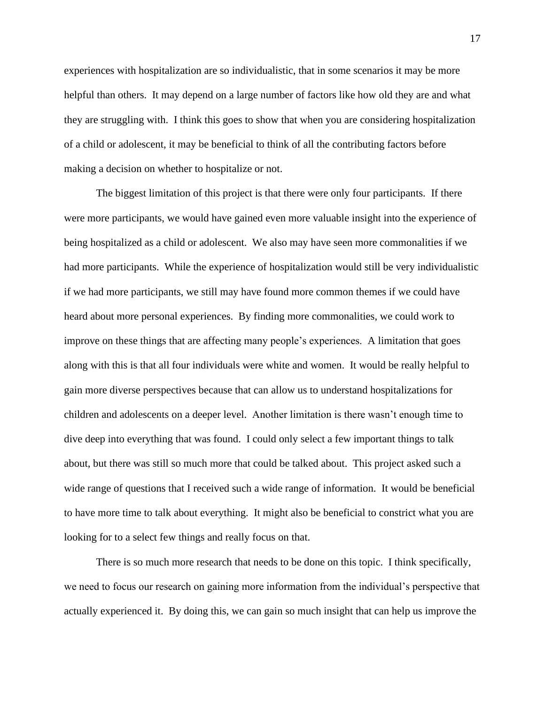experiences with hospitalization are so individualistic, that in some scenarios it may be more helpful than others. It may depend on a large number of factors like how old they are and what they are struggling with. I think this goes to show that when you are considering hospitalization of a child or adolescent, it may be beneficial to think of all the contributing factors before making a decision on whether to hospitalize or not.

The biggest limitation of this project is that there were only four participants. If there were more participants, we would have gained even more valuable insight into the experience of being hospitalized as a child or adolescent. We also may have seen more commonalities if we had more participants. While the experience of hospitalization would still be very individualistic if we had more participants, we still may have found more common themes if we could have heard about more personal experiences. By finding more commonalities, we could work to improve on these things that are affecting many people's experiences. A limitation that goes along with this is that all four individuals were white and women. It would be really helpful to gain more diverse perspectives because that can allow us to understand hospitalizations for children and adolescents on a deeper level. Another limitation is there wasn't enough time to dive deep into everything that was found. I could only select a few important things to talk about, but there was still so much more that could be talked about. This project asked such a wide range of questions that I received such a wide range of information. It would be beneficial to have more time to talk about everything. It might also be beneficial to constrict what you are looking for to a select few things and really focus on that.

There is so much more research that needs to be done on this topic. I think specifically, we need to focus our research on gaining more information from the individual's perspective that actually experienced it. By doing this, we can gain so much insight that can help us improve the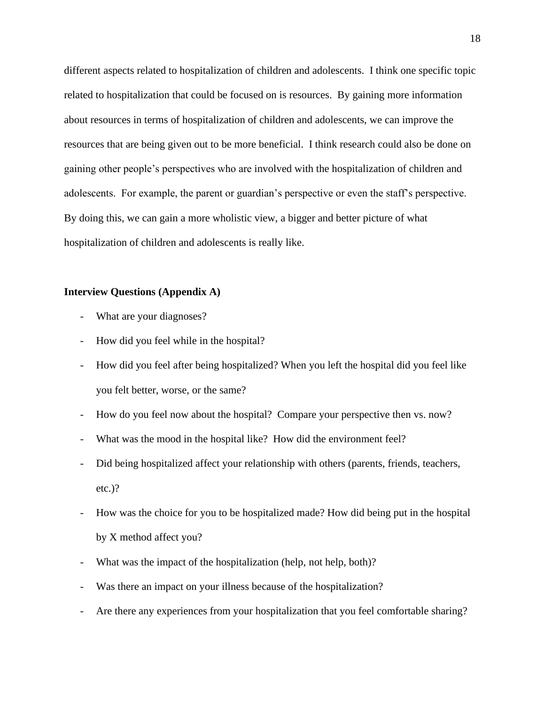different aspects related to hospitalization of children and adolescents. I think one specific topic related to hospitalization that could be focused on is resources. By gaining more information about resources in terms of hospitalization of children and adolescents, we can improve the resources that are being given out to be more beneficial. I think research could also be done on gaining other people's perspectives who are involved with the hospitalization of children and adolescents. For example, the parent or guardian's perspective or even the staff's perspective. By doing this, we can gain a more wholistic view, a bigger and better picture of what hospitalization of children and adolescents is really like.

## **Interview Questions (Appendix A)**

- What are your diagnoses?
- How did you feel while in the hospital?
- How did you feel after being hospitalized? When you left the hospital did you feel like you felt better, worse, or the same?
- How do you feel now about the hospital? Compare your perspective then vs. now?
- What was the mood in the hospital like? How did the environment feel?
- Did being hospitalized affect your relationship with others (parents, friends, teachers, etc.)?
- How was the choice for you to be hospitalized made? How did being put in the hospital by X method affect you?
- What was the impact of the hospitalization (help, not help, both)?
- Was there an impact on your illness because of the hospitalization?
- Are there any experiences from your hospitalization that you feel comfortable sharing?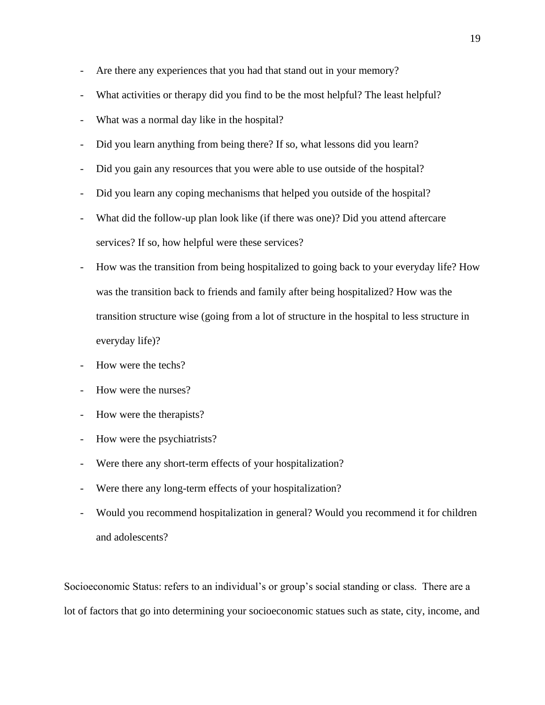- Are there any experiences that you had that stand out in your memory?
- What activities or therapy did you find to be the most helpful? The least helpful?
- What was a normal day like in the hospital?
- Did you learn anything from being there? If so, what lessons did you learn?
- Did you gain any resources that you were able to use outside of the hospital?
- Did you learn any coping mechanisms that helped you outside of the hospital?
- What did the follow-up plan look like (if there was one)? Did you attend aftercare services? If so, how helpful were these services?
- How was the transition from being hospitalized to going back to your everyday life? How was the transition back to friends and family after being hospitalized? How was the transition structure wise (going from a lot of structure in the hospital to less structure in everyday life)?
- How were the techs?
- How were the nurses?
- How were the therapists?
- How were the psychiatrists?
- Were there any short-term effects of your hospitalization?
- Were there any long-term effects of your hospitalization?
- Would you recommend hospitalization in general? Would you recommend it for children and adolescents?

Socioeconomic Status: refers to an individual's or group's social standing or class. There are a lot of factors that go into determining your socioeconomic statues such as state, city, income, and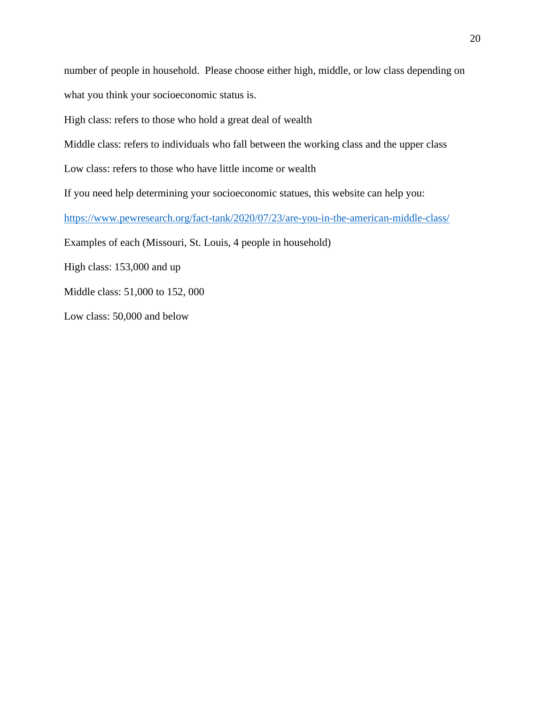number of people in household. Please choose either high, middle, or low class depending on what you think your socioeconomic status is.

High class: refers to those who hold a great deal of wealth

Middle class: refers to individuals who fall between the working class and the upper class

Low class: refers to those who have little income or wealth

If you need help determining your socioeconomic statues, this website can help you:

<https://www.pewresearch.org/fact-tank/2020/07/23/are-you-in-the-american-middle-class/>

Examples of each (Missouri, St. Louis, 4 people in household)

High class: 153,000 and up

Middle class: 51,000 to 152, 000

Low class: 50,000 and below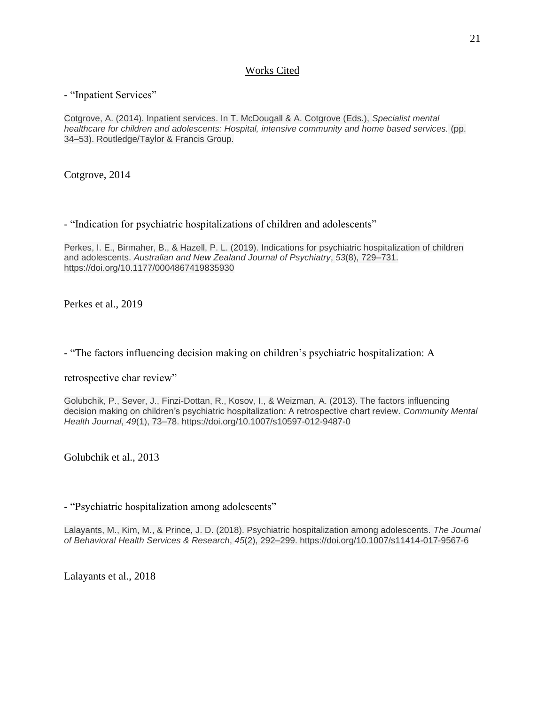# Works Cited

## - "Inpatient Services"

Cotgrove, A. (2014). Inpatient services. In T. McDougall & A. Cotgrove (Eds.), *Specialist mental healthcare for children and adolescents: Hospital, intensive community and home based services.* (pp. 34–53). Routledge/Taylor & Francis Group.

Cotgrove, 2014

- "Indication for psychiatric hospitalizations of children and adolescents"

Perkes, I. E., Birmaher, B., & Hazell, P. L. (2019). Indications for psychiatric hospitalization of children and adolescents. *Australian and New Zealand Journal of Psychiatry*, *53*(8), 729–731. https://doi.org/10.1177/0004867419835930

Perkes et al., 2019

- "The factors influencing decision making on children's psychiatric hospitalization: A

retrospective char review"

Golubchik, P., Sever, J., Finzi-Dottan, R., Kosov, I., & Weizman, A. (2013). The factors influencing decision making on children's psychiatric hospitalization: A retrospective chart review. *Community Mental Health Journal*, *49*(1), 73–78. https://doi.org/10.1007/s10597-012-9487-0

Golubchik et al., 2013

- "Psychiatric hospitalization among adolescents"

Lalayants, M., Kim, M., & Prince, J. D. (2018). Psychiatric hospitalization among adolescents. *The Journal of Behavioral Health Services & Research*, *45*(2), 292–299. https://doi.org/10.1007/s11414-017-9567-6

Lalayants et al., 2018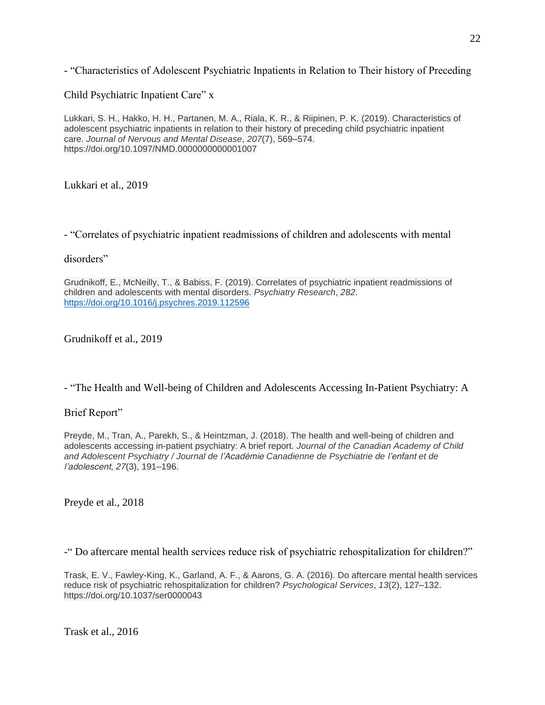- "Characteristics of Adolescent Psychiatric Inpatients in Relation to Their history of Preceding

Child Psychiatric Inpatient Care" x

Lukkari, S. H., Hakko, H. H., Partanen, M. A., Riala, K. R., & Riipinen, P. K. (2019). Characteristics of adolescent psychiatric inpatients in relation to their history of preceding child psychiatric inpatient care. *Journal of Nervous and Mental Disease*, *207*(7), 569–574. https://doi.org/10.1097/NMD.0000000000001007

Lukkari et al., 2019

- "Correlates of psychiatric inpatient readmissions of children and adolescents with mental

disorders"

Grudnikoff, E., McNeilly, T., & Babiss, F. (2019). Correlates of psychiatric inpatient readmissions of children and adolescents with mental disorders. *Psychiatry Research*, *282*. <https://doi.org/10.1016/j.psychres.2019.112596>

Grudnikoff et al., 2019

- "The Health and Well-being of Children and Adolescents Accessing In-Patient Psychiatry: A

# Brief Report"

Preyde, M., Tran, A., Parekh, S., & Heintzman, J. (2018). The health and well-being of children and adolescents accessing in-patient psychiatry: A brief report. *Journal of the Canadian Academy of Child and Adolescent Psychiatry / Journal de l'Académie Canadienne de Psychiatrie de l'enfant et de l'adolescent*, *27*(3), 191–196.

Preyde et al., 2018

-" Do aftercare mental health services reduce risk of psychiatric rehospitalization for children?"

Trask, E. V., Fawley-King, K., Garland, A. F., & Aarons, G. A. (2016). Do aftercare mental health services reduce risk of psychiatric rehospitalization for children? *Psychological Services*, *13*(2), 127–132. https://doi.org/10.1037/ser0000043

Trask et al., 2016